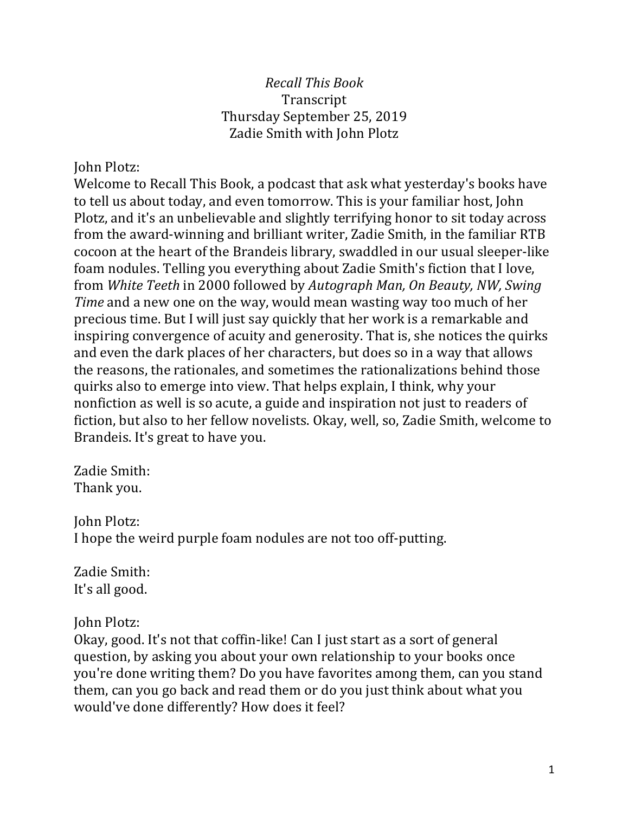#### *Recall This Book* Transcript Thursday September 25, 2019 Zadie Smith with John Plotz

#### John Plotz:

Welcome to Recall This Book, a podcast that ask what yesterday's books have to tell us about today, and even tomorrow. This is your familiar host, John Plotz, and it's an unbelievable and slightly terrifying honor to sit today across from the award-winning and brilliant writer, Zadie Smith, in the familiar RTB cocoon at the heart of the Brandeis library, swaddled in our usual sleeper-like foam nodules. Telling you everything about Zadie Smith's fiction that I love, from *White Teeth* in 2000 followed by *Autograph Man, On Beauty, NW, Swing Time* and a new one on the way, would mean wasting way too much of her precious time. But I will just say quickly that her work is a remarkable and inspiring convergence of acuity and generosity. That is, she notices the quirks and even the dark places of her characters, but does so in a way that allows the reasons, the rationales, and sometimes the rationalizations behind those quirks also to emerge into view. That helps explain, I think, why your nonfiction as well is so acute, a guide and inspiration not just to readers of fiction, but also to her fellow novelists. Okay, well, so, Zadie Smith, welcome to Brandeis. It's great to have you.

Zadie Smith: Thank you.

John Plotz: I hope the weird purple foam nodules are not too off-putting.

Zadie Smith: It's all good.

John Plotz:

Okay, good. It's not that coffin-like! Can I just start as a sort of general question, by asking you about your own relationship to your books once you're done writing them? Do you have favorites among them, can you stand them, can you go back and read them or do you just think about what you would've done differently? How does it feel?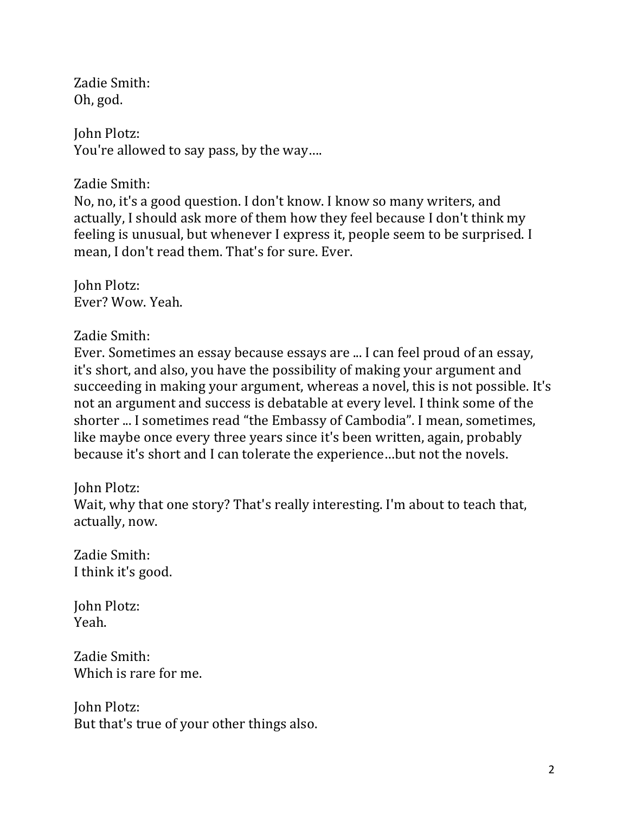Zadie Smith: Oh, god.

John Plotz: You're allowed to say pass, by the way....

Zadie Smith:

No, no, it's a good question. I don't know. I know so many writers, and actually, I should ask more of them how they feel because I don't think my feeling is unusual, but whenever I express it, people seem to be surprised. I mean, I don't read them. That's for sure. Ever.

John Plotz: Ever? Wow. Yeah.

Zadie Smith:

Ever. Sometimes an essay because essays are ... I can feel proud of an essay, it's short, and also, you have the possibility of making your argument and succeeding in making your argument, whereas a novel, this is not possible. It's not an argument and success is debatable at every level. I think some of the shorter ... I sometimes read "the Embassy of Cambodia". I mean, sometimes, like maybe once every three years since it's been written, again, probably because it's short and I can tolerate the experience...but not the novels.

John Plotz:

Wait, why that one story? That's really interesting. I'm about to teach that, actually, now.

Zadie Smith: I think it's good.

John Plotz: Yeah.

Zadie Smith: Which is rare for me.

John Plotz: But that's true of your other things also.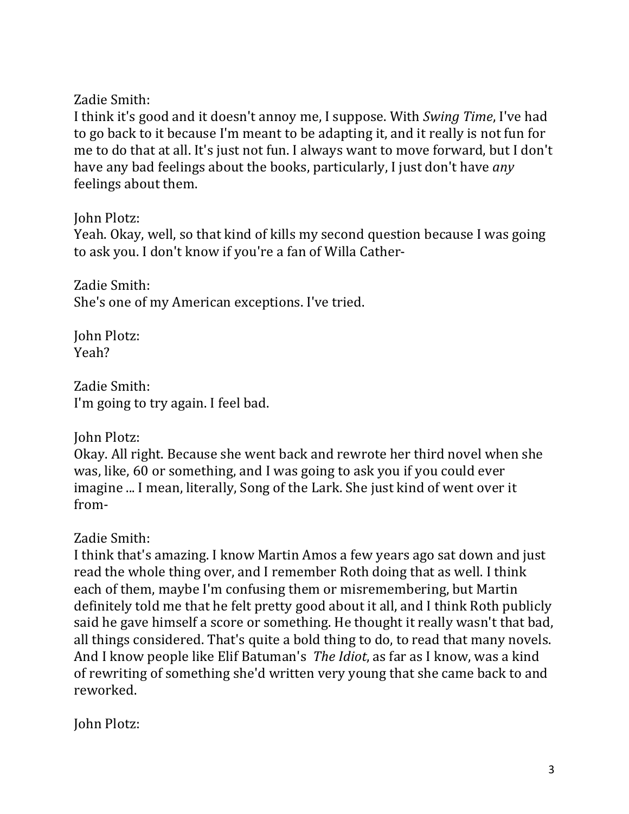Zadie Smith:

I think it's good and it doesn't annoy me, I suppose. With *Swing Time*, I've had to go back to it because I'm meant to be adapting it, and it really is not fun for me to do that at all. It's just not fun. I always want to move forward, but I don't have any bad feelings about the books, particularly, I just don't have *any* feelings about them.

John Plotz:

Yeah. Okay, well, so that kind of kills my second question because I was going to ask you. I don't know if you're a fan of Willa Cather-

Zadie Smith: She's one of my American exceptions. I've tried.

John Plotz: Yeah?

Zadie Smith: I'm going to try again. I feel bad.

John Plotz:

Okay. All right. Because she went back and rewrote her third novel when she was, like, 60 or something, and I was going to ask you if you could ever imagine ... I mean, literally, Song of the Lark. She just kind of went over it from-

Zadie Smith:

I think that's amazing. I know Martin Amos a few years ago sat down and just read the whole thing over, and I remember Roth doing that as well. I think each of them, maybe I'm confusing them or misremembering, but Martin definitely told me that he felt pretty good about it all, and I think Roth publicly said he gave himself a score or something. He thought it really wasn't that bad, all things considered. That's quite a bold thing to do, to read that many novels. And I know people like Elif Batuman's *The Idiot*, as far as I know, was a kind of rewriting of something she'd written very young that she came back to and reworked.

**John Plotz:**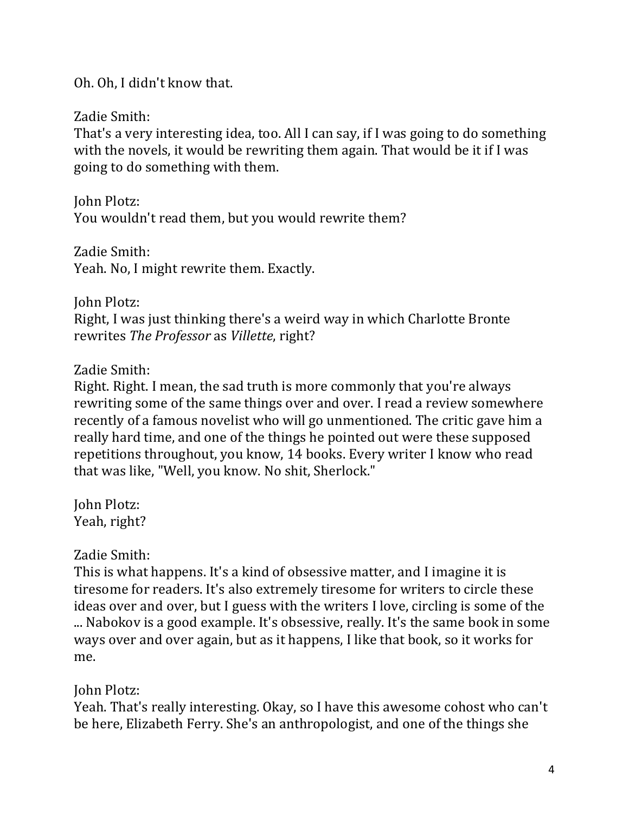Oh. Oh, I didn't know that.

Zadie Smith:

That's a very interesting idea, too. All I can say, if I was going to do something with the novels, it would be rewriting them again. That would be it if I was going to do something with them.

John Plotz: You wouldn't read them, but you would rewrite them?

Zadie Smith: Yeah. No, I might rewrite them. Exactly.

John Plotz:

Right, I was just thinking there's a weird way in which Charlotte Bronte rewrites *The Professor* as *Villette*, right?

## Zadie Smith:

Right. Right. I mean, the sad truth is more commonly that you're always rewriting some of the same things over and over. I read a review somewhere recently of a famous novelist who will go unmentioned. The critic gave him a really hard time, and one of the things he pointed out were these supposed repetitions throughout, you know, 14 books. Every writer I know who read that was like, "Well, you know. No shit, Sherlock."

John Plotz: Yeah, right?

Zadie Smith:

This is what happens. It's a kind of obsessive matter, and I imagine it is tiresome for readers. It's also extremely tiresome for writers to circle these ideas over and over, but I guess with the writers I love, circling is some of the .... Nabokov is a good example. It's obsessive, really. It's the same book in some ways over and over again, but as it happens, I like that book, so it works for me.

**John Plotz:** 

Yeah. That's really interesting. Okay, so I have this awesome cohost who can't be here, Elizabeth Ferry. She's an anthropologist, and one of the things she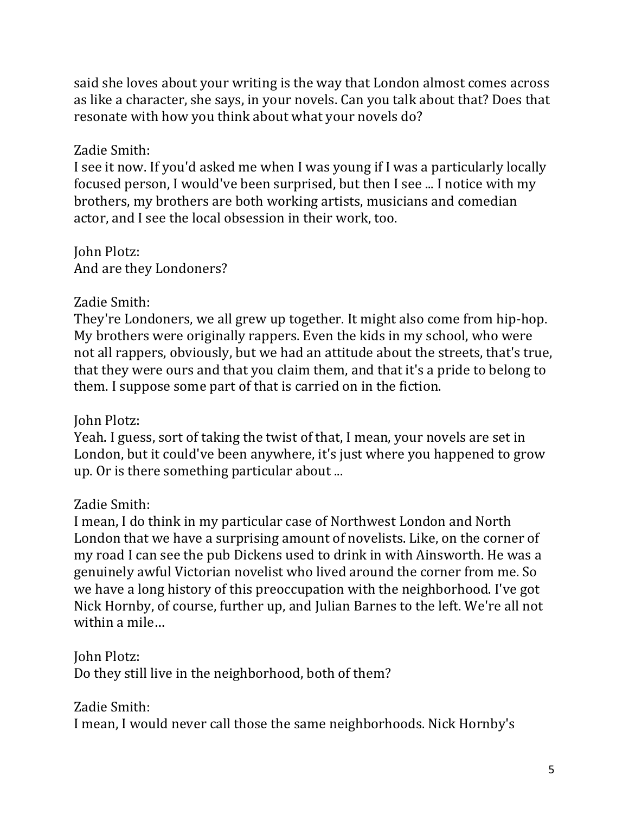said she loves about your writing is the way that London almost comes across as like a character, she says, in your novels. Can you talk about that? Does that resonate with how you think about what your novels do?

## Zadie Smith:

I see it now. If you'd asked me when I was young if I was a particularly locally focused person, I would've been surprised, but then I see ... I notice with my brothers, my brothers are both working artists, musicians and comedian actor, and I see the local obsession in their work, too.

**John Plotz:** And are they Londoners?

## Zadie Smith:

They're Londoners, we all grew up together. It might also come from hip-hop. My brothers were originally rappers. Even the kids in my school, who were not all rappers, obviously, but we had an attitude about the streets, that's true, that they were ours and that you claim them, and that it's a pride to belong to them. I suppose some part of that is carried on in the fiction.

# **John Plotz:**

Yeah. I guess, sort of taking the twist of that, I mean, your novels are set in London, but it could've been anywhere, it's just where you happened to grow up. Or is there something particular about ...

# Zadie Smith:

I mean, I do think in my particular case of Northwest London and North London that we have a surprising amount of novelists. Like, on the corner of my road I can see the pub Dickens used to drink in with Ainsworth. He was a genuinely awful Victorian novelist who lived around the corner from me. So we have a long history of this preoccupation with the neighborhood. I've got Nick Hornby, of course, further up, and Julian Barnes to the left. We're all not within a mile...

John Plotz:

Do they still live in the neighborhood, both of them?

Zadie Smith:

I mean, I would never call those the same neighborhoods. Nick Hornby's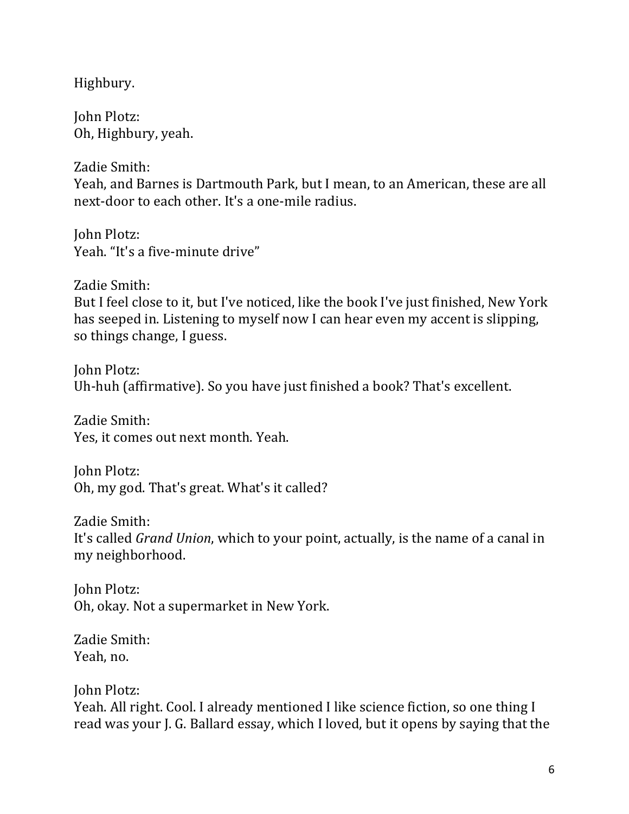Highbury.

John Plotz: Oh, Highbury, yeah.

Zadie Smith: Yeah, and Barnes is Dartmouth Park, but I mean, to an American, these are all next-door to each other. It's a one-mile radius.

John Plotz: Yeah. "It's a five-minute drive"

Zadie Smith: But I feel close to it, but I've noticed, like the book I've just finished, New York has seeped in. Listening to myself now I can hear even my accent is slipping, so things change, I guess.

John Plotz: Uh-huh (affirmative). So you have just finished a book? That's excellent.

Zadie Smith: Yes, it comes out next month. Yeah.

John Plotz: Oh, my god. That's great. What's it called?

Zadie Smith: It's called *Grand Union*, which to your point, actually, is the name of a canal in my neighborhood.

John Plotz: Oh, okay. Not a supermarket in New York.

Zadie Smith: Yeah, no.

John Plotz: Yeah. All right. Cool. I already mentioned I like science fiction, so one thing I read was your J. G. Ballard essay, which I loved, but it opens by saying that the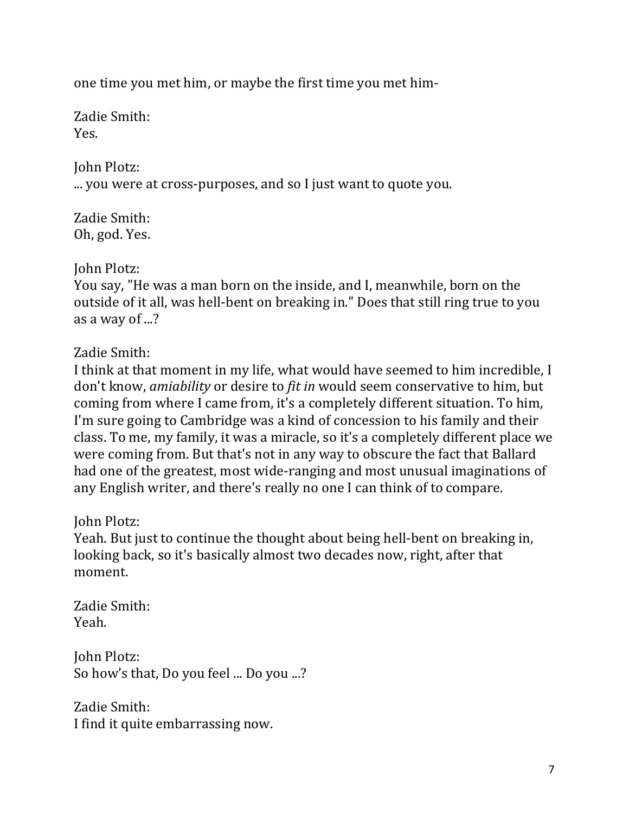one time you met him, or maybe the first time you met him-

Zadie Smith: Yes.

**John Plotz:** ... you were at cross-purposes, and so I just want to quote you.

Zadie Smith: Oh, god. Yes.

**John Plotz:** 

You say, "He was a man born on the inside, and I, meanwhile, born on the outside of it all, was hell-bent on breaking in." Does that still ring true to you as a way of ...?

Zadie Smith:

I think at that moment in my life, what would have seemed to him incredible, I don't know, *amiability* or desire to *fit in* would seem conservative to him, but coming from where I came from, it's a completely different situation. To him, I'm sure going to Cambridge was a kind of concession to his family and their class. To me, my family, it was a miracle, so it's a completely different place we were coming from. But that's not in any way to obscure the fact that Ballard had one of the greatest, most wide-ranging and most unusual imaginations of any English writer, and there's really no one I can think of to compare.

John Plotz:

Yeah. But just to continue the thought about being hell-bent on breaking in, looking back, so it's basically almost two decades now, right, after that moment.

Zadie Smith: Yeah.

John Plotz: So how's that, Do you feel ... Do you ...?

Zadie Smith: I find it quite embarrassing now.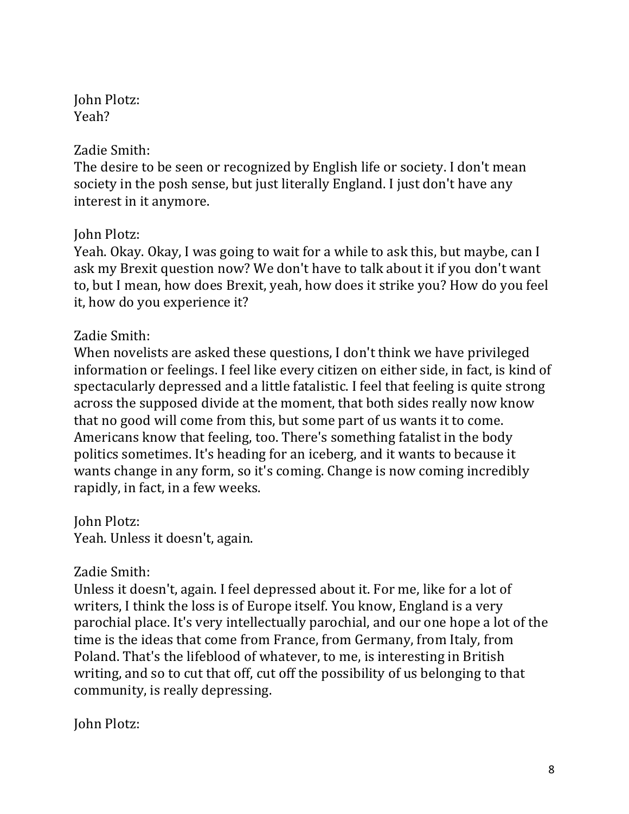**John Plotz:** Yeah?

### Zadie Smith:

The desire to be seen or recognized by English life or society. I don't mean society in the posh sense, but just literally England. I just don't have any interest in it anymore.

## John Plotz:

Yeah. Okay. Okay, I was going to wait for a while to ask this, but maybe, can I ask my Brexit question now? We don't have to talk about it if you don't want to, but I mean, how does Brexit, yeah, how does it strike you? How do you feel it, how do you experience it?

# Zadie Smith:

When novelists are asked these questions, I don't think we have privileged information or feelings. I feel like every citizen on either side, in fact, is kind of spectacularly depressed and a little fatalistic. I feel that feeling is quite strong across the supposed divide at the moment, that both sides really now know that no good will come from this, but some part of us wants it to come. Americans know that feeling, too. There's something fatalist in the body politics sometimes. It's heading for an iceberg, and it wants to because it wants change in any form, so it's coming. Change is now coming incredibly rapidly, in fact, in a few weeks.

John Plotz: Yeah. Unless it doesn't, again.

# Zadie Smith:

Unless it doesn't, again. I feel depressed about it. For me, like for a lot of writers, I think the loss is of Europe itself. You know, England is a very parochial place. It's very intellectually parochial, and our one hope a lot of the time is the ideas that come from France, from Germany, from Italy, from Poland. That's the lifeblood of whatever, to me, is interesting in British writing, and so to cut that off, cut off the possibility of us belonging to that community, is really depressing.

**John Plotz:**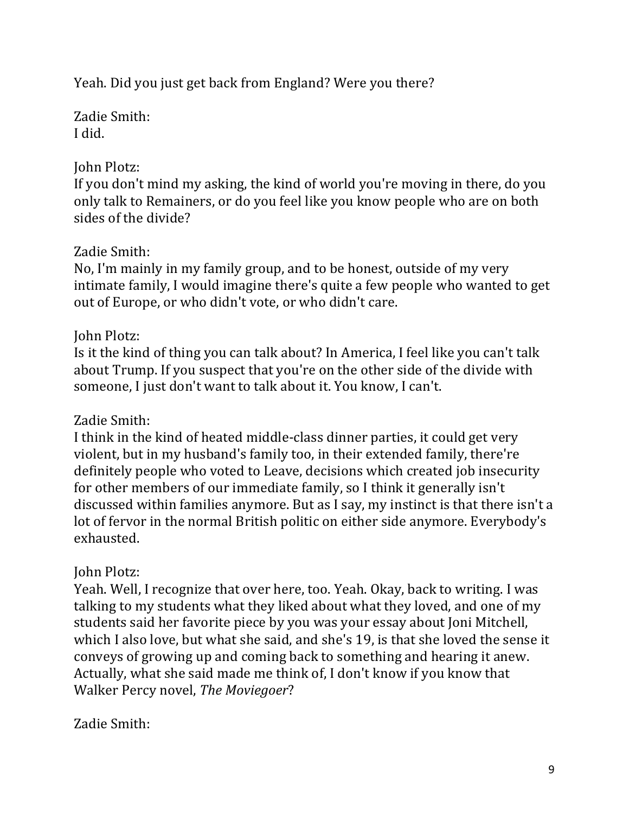Yeah. Did you just get back from England? Were you there?

Zadie Smith: I did.

# John Plotz:

If you don't mind my asking, the kind of world you're moving in there, do you only talk to Remainers, or do you feel like you know people who are on both sides of the divide?

# Zadie Smith:

No, I'm mainly in my family group, and to be honest, outside of my very intimate family, I would imagine there's quite a few people who wanted to get out of Europe, or who didn't vote, or who didn't care.

# John Plotz:

Is it the kind of thing you can talk about? In America, I feel like you can't talk about Trump. If you suspect that you're on the other side of the divide with someone, I just don't want to talk about it. You know, I can't.

# Zadie Smith:

I think in the kind of heated middle-class dinner parties, it could get very violent, but in my husband's family too, in their extended family, there're definitely people who voted to Leave, decisions which created job insecurity for other members of our immediate family, so I think it generally isn't discussed within families anymore. But as I say, my instinct is that there isn't a lot of fervor in the normal British politic on either side anymore. Everybody's exhausted.

# **John Plotz:**

Yeah. Well, I recognize that over here, too. Yeah. Okay, back to writing. I was talking to my students what they liked about what they loved, and one of my students said her favorite piece by you was your essay about Joni Mitchell, which I also love, but what she said, and she's 19, is that she loved the sense it conveys of growing up and coming back to something and hearing it anew. Actually, what she said made me think of, I don't know if you know that Walker Percy novel, *The Moviegoer*?

# Zadie Smith: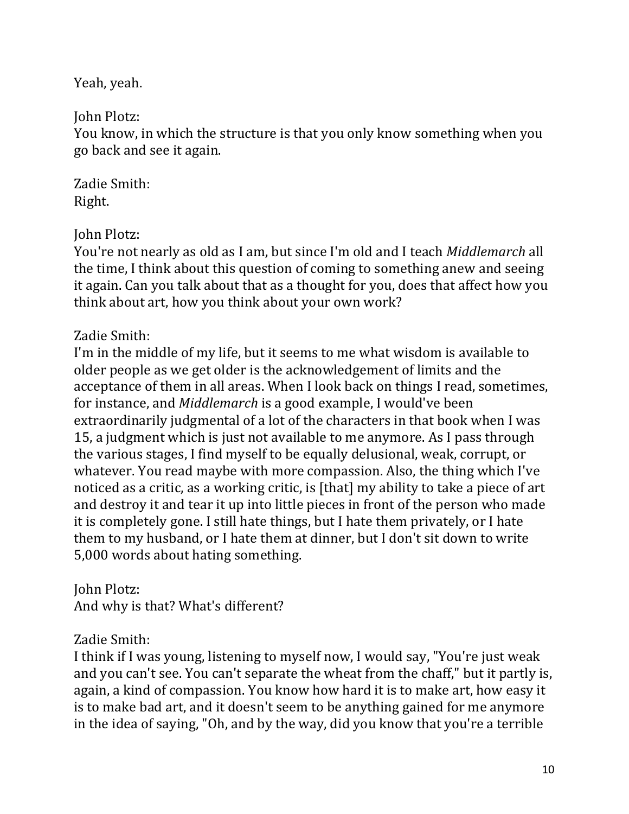Yeah, yeah.

John Plotz:

You know, in which the structure is that you only know something when you go back and see it again.

Zadie Smith: Right.

John Plotz:

You're not nearly as old as I am, but since I'm old and I teach *Middlemarch* all the time, I think about this question of coming to something anew and seeing it again. Can you talk about that as a thought for you, does that affect how you think about art, how you think about your own work?

# Zadie Smith:

I'm in the middle of my life, but it seems to me what wisdom is available to older people as we get older is the acknowledgement of limits and the acceptance of them in all areas. When I look back on things I read, sometimes, for instance, and *Middlemarch* is a good example, I would've been extraordinarily judgmental of a lot of the characters in that book when I was 15, a judgment which is just not available to me anymore. As I pass through the various stages, I find myself to be equally delusional, weak, corrupt, or whatever. You read maybe with more compassion. Also, the thing which I've noticed as a critic, as a working critic, is [that] my ability to take a piece of art and destroy it and tear it up into little pieces in front of the person who made it is completely gone. I still hate things, but I hate them privately, or I hate them to my husband, or I hate them at dinner, but I don't sit down to write 5,000 words about hating something.

John Plotz: And why is that? What's different?

# Zadie Smith:

I think if I was young, listening to myself now, I would say, "You're just weak and you can't see. You can't separate the wheat from the chaff," but it partly is, again, a kind of compassion. You know how hard it is to make art, how easy it is to make bad art, and it doesn't seem to be anything gained for me anymore in the idea of saying, "Oh, and by the way, did you know that you're a terrible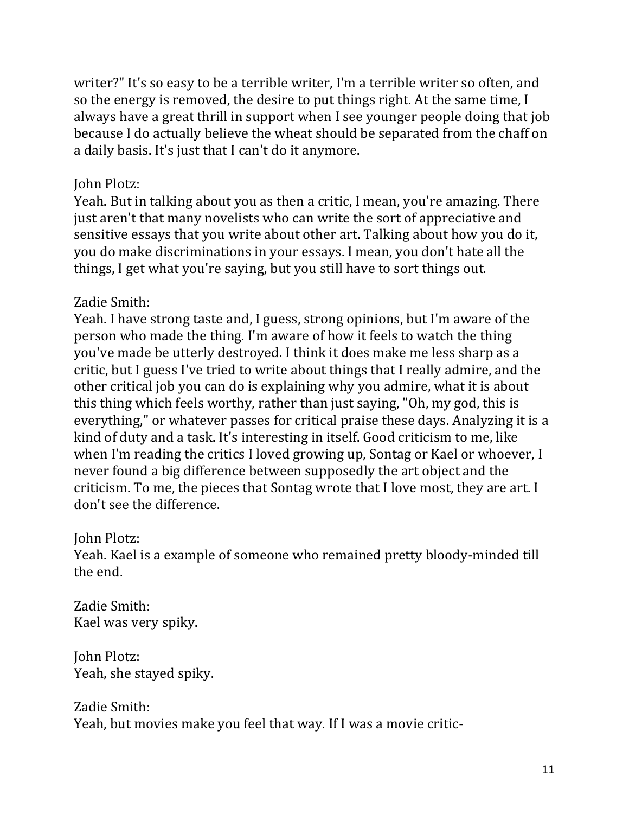writer?" It's so easy to be a terrible writer, I'm a terrible writer so often, and so the energy is removed, the desire to put things right. At the same time, I always have a great thrill in support when I see younger people doing that job because I do actually believe the wheat should be separated from the chaff on a daily basis. It's just that I can't do it anymore.

#### John Plotz:

Yeah. But in talking about you as then a critic, I mean, you're amazing. There just aren't that many novelists who can write the sort of appreciative and sensitive essays that you write about other art. Talking about how you do it, you do make discriminations in your essays. I mean, you don't hate all the things, I get what you're saying, but you still have to sort things out.

### Zadie Smith:

Yeah. I have strong taste and, I guess, strong opinions, but I'm aware of the person who made the thing. I'm aware of how it feels to watch the thing you've made be utterly destroyed. I think it does make me less sharp as a critic, but I guess I've tried to write about things that I really admire, and the other critical job you can do is explaining why you admire, what it is about this thing which feels worthy, rather than just saying, "Oh, my god, this is everything," or whatever passes for critical praise these days. Analyzing it is a kind of duty and a task. It's interesting in itself. Good criticism to me, like when I'm reading the critics I loved growing up, Sontag or Kael or whoever, I never found a big difference between supposedly the art object and the criticism. To me, the pieces that Sontag wrote that I love most, they are art. I don't see the difference.

### John Plotz:

Yeah. Kael is a example of someone who remained pretty bloody-minded till the end.

Zadie Smith: Kael was very spiky.

John Plotz: Yeah, she stayed spiky.

Zadie Smith: Yeah, but movies make you feel that way. If I was a movie critic-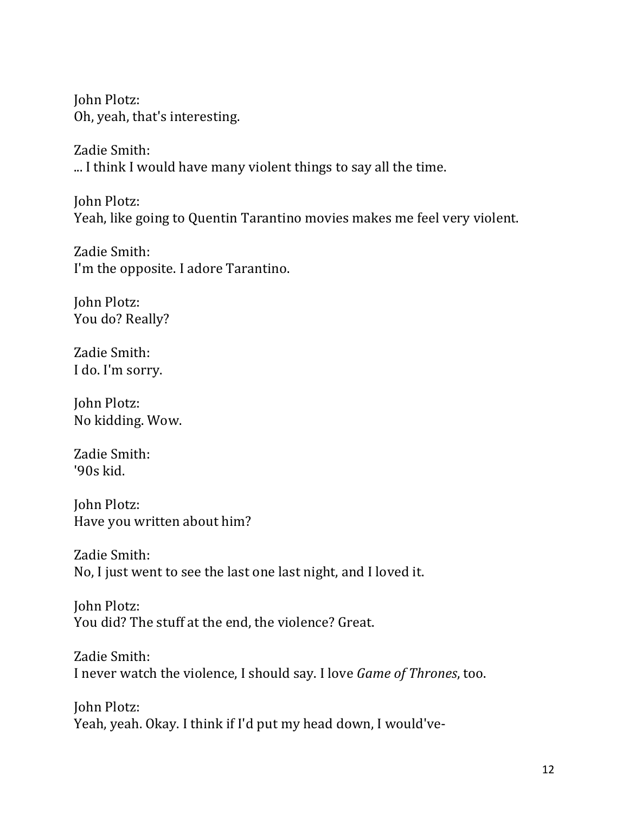**John Plotz:** Oh, yeah, that's interesting.

Zadie Smith: ... I think I would have many violent things to say all the time.

John Plotz: Yeah, like going to Quentin Tarantino movies makes me feel very violent.

Zadie Smith: I'm the opposite. I adore Tarantino.

John Plotz: You do? Really?

Zadie Smith: I do. I'm sorry.

**John Plotz:** No kidding. Wow.

Zadie Smith: '90s kid.

John Plotz: Have you written about him?

Zadie Smith: No, I just went to see the last one last night, and I loved it.

John Plotz: You did? The stuff at the end, the violence? Great.

Zadie Smith: I never watch the violence, I should say. I love *Game of Thrones*, too.

**John Plotz:** Yeah, yeah. Okay. I think if I'd put my head down, I would've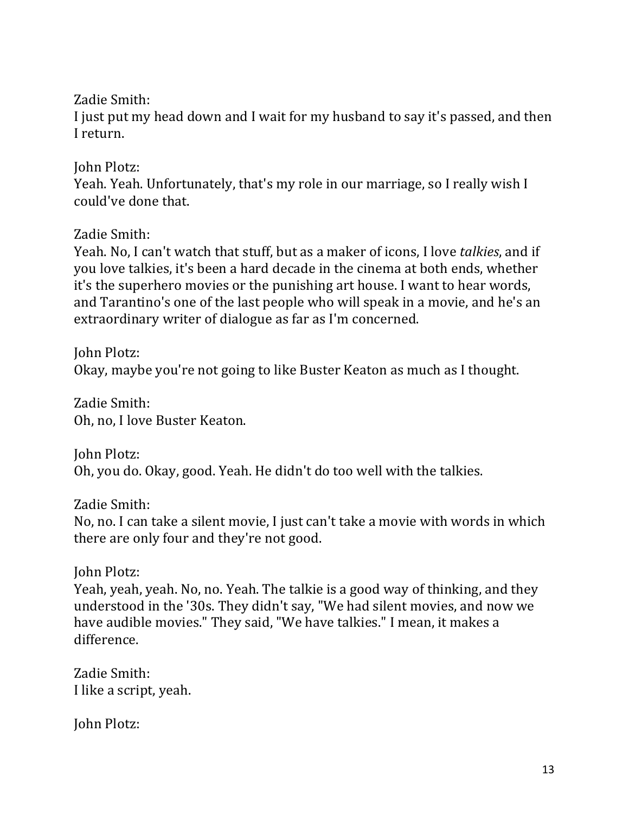Zadie Smith:

I just put my head down and I wait for my husband to say it's passed, and then I return.

John Plotz:

Yeah. Yeah. Unfortunately, that's my role in our marriage, so I really wish I could've done that.

Zadie Smith:

Yeah. No, I can't watch that stuff, but as a maker of icons, I love *talkies*, and if you love talkies, it's been a hard decade in the cinema at both ends, whether it's the superhero movies or the punishing art house. I want to hear words, and Tarantino's one of the last people who will speak in a movie, and he's an extraordinary writer of dialogue as far as I'm concerned.

John Plotz: Okay, maybe you're not going to like Buster Keaton as much as I thought.

Zadie Smith: Oh, no, I love Buster Keaton.

John Plotz: Oh, you do. Okay, good. Yeah. He didn't do too well with the talkies.

Zadie Smith:

No, no. I can take a silent movie, I just can't take a movie with words in which there are only four and they're not good.

**John Plotz:** 

Yeah, yeah, yeah. No, no. Yeah. The talkie is a good way of thinking, and they understood in the '30s. They didn't say, "We had silent movies, and now we have audible movies." They said, "We have talkies." I mean, it makes a difference.

Zadie Smith: I like a script, yeah.

**John Plotz:**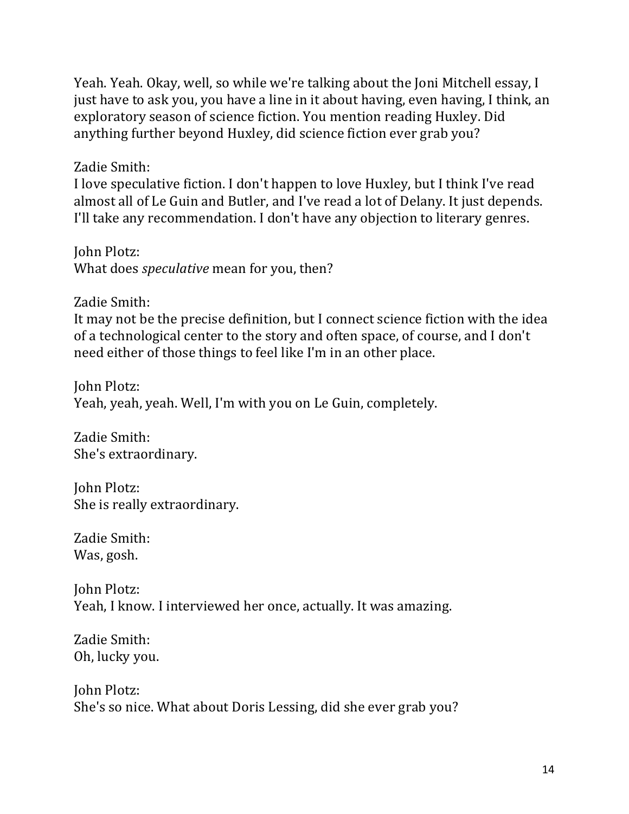Yeah. Yeah. Okay, well, so while we're talking about the Joni Mitchell essay, I just have to ask you, you have a line in it about having, even having, I think, an exploratory season of science fiction. You mention reading Huxley. Did anything further beyond Huxley, did science fiction ever grab you?

Zadie Smith:

I love speculative fiction. I don't happen to love Huxley, but I think I've read almost all of Le Guin and Butler, and I've read a lot of Delany. It just depends. I'll take any recommendation. I don't have any objection to literary genres.

**John Plotz:** What does *speculative* mean for you, then?

Zadie Smith:

It may not be the precise definition, but I connect science fiction with the idea of a technological center to the story and often space, of course, and I don't need either of those things to feel like I'm in an other place.

**John Plotz:** Yeah, yeah, yeah. Well, I'm with you on Le Guin, completely.

Zadie Smith: She's extraordinary.

John Plotz: She is really extraordinary.

Zadie Smith: Was, gosh.

John Plotz: Yeah, I know. I interviewed her once, actually. It was amazing.

Zadie Smith: Oh, lucky you.

**John Plotz:** She's so nice. What about Doris Lessing, did she ever grab you?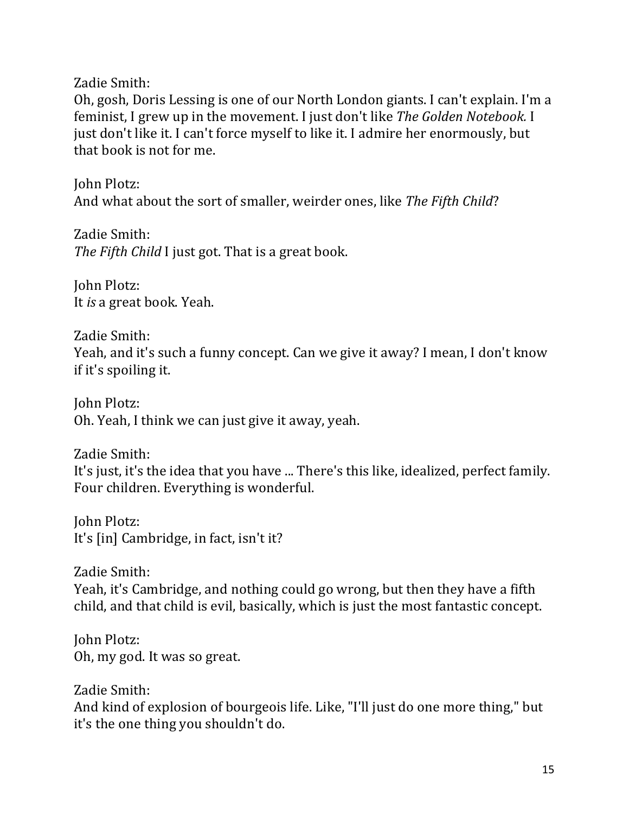Zadie Smith:

Oh, gosh, Doris Lessing is one of our North London giants. I can't explain. I'm a feminist, I grew up in the movement. I just don't like The Golden Notebook. I just don't like it. I can't force myself to like it. I admire her enormously, but that book is not for me.

John Plotz: And what about the sort of smaller, weirder ones, like The Fifth Child?

Zadie Smith: *The Fifth Child* I just got. That is a great book.

**John Plotz:** It *is* a great book. Yeah.

Zadie Smith: Yeah, and it's such a funny concept. Can we give it away? I mean, I don't know if it's spoiling it.

**John Plotz:** Oh. Yeah, I think we can just give it away, yeah.

Zadie Smith: It's just, it's the idea that you have ... There's this like, idealized, perfect family. Four children. Everything is wonderful.

John Plotz: It's [in] Cambridge, in fact, isn't it?

Zadie Smith: Yeah, it's Cambridge, and nothing could go wrong, but then they have a fifth child, and that child is evil, basically, which is just the most fantastic concept.

John Plotz: Oh, my god. It was so great.

Zadie Smith: And kind of explosion of bourgeois life. Like, "I'll just do one more thing," but it's the one thing you shouldn't do.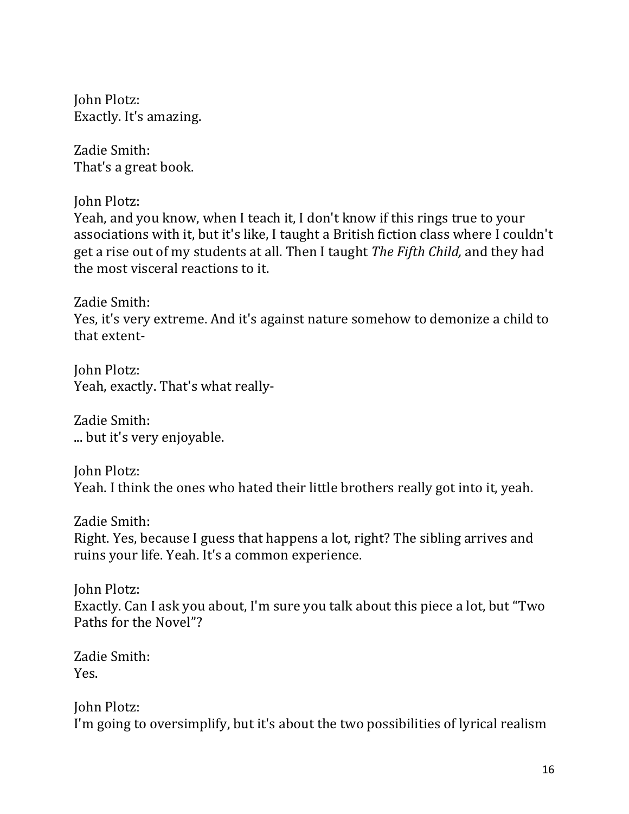**John Plotz:** Exactly. It's amazing.

Zadie Smith: That's a great book.

John Plotz:

Yeah, and you know, when I teach it, I don't know if this rings true to your associations with it, but it's like, I taught a British fiction class where I couldn't get a rise out of my students at all. Then I taught *The Fifth Child*, and they had the most visceral reactions to it.

Zadie Smith: Yes, it's very extreme. And it's against nature somehow to demonize a child to that extent-

John Plotz: Yeah, exactly. That's what really-

Zadie Smith: ... but it's very enjoyable.

John Plotz: Yeah. I think the ones who hated their little brothers really got into it, yeah.

Zadie Smith: Right. Yes, because I guess that happens a lot, right? The sibling arrives and ruins your life. Yeah. It's a common experience.

John Plotz: Exactly. Can I ask you about, I'm sure you talk about this piece a lot, but "Two Paths for the Novel"?

Zadie Smith: Yes.

John Plotz: I'm going to oversimplify, but it's about the two possibilities of lyrical realism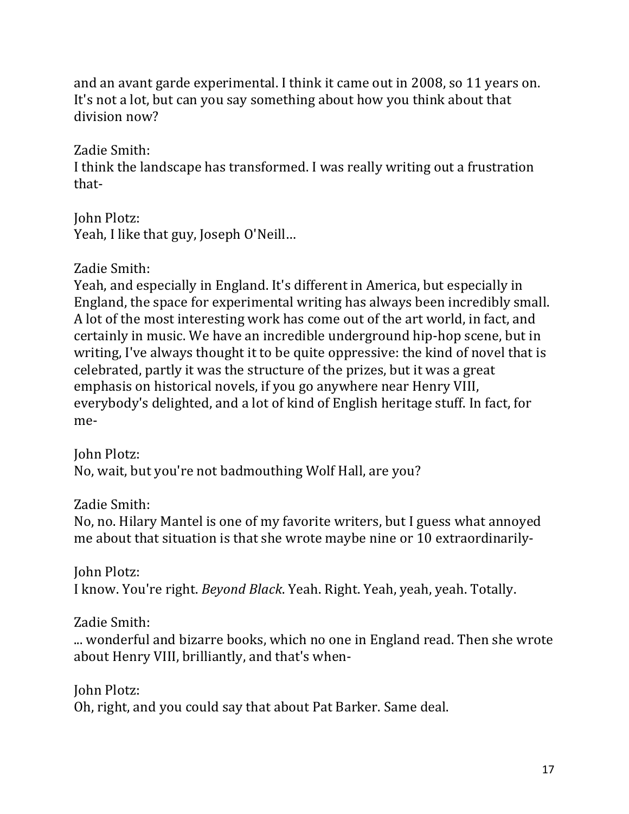and an avant garde experimental. I think it came out in 2008, so 11 years on. It's not a lot, but can you say something about how you think about that division now?

Zadie Smith:

I think the landscape has transformed. I was really writing out a frustration that-

John Plotz: Yeah, I like that guy, Joseph O'Neill...

Zadie Smith:

Yeah, and especially in England. It's different in America, but especially in England, the space for experimental writing has always been incredibly small. A lot of the most interesting work has come out of the art world, in fact, and certainly in music. We have an incredible underground hip-hop scene, but in writing, I've always thought it to be quite oppressive: the kind of novel that is celebrated, partly it was the structure of the prizes, but it was a great emphasis on historical novels, if you go anywhere near Henry VIII, everybody's delighted, and a lot of kind of English heritage stuff. In fact, for me-

John Plotz: No, wait, but you're not badmouthing Wolf Hall, are you?

Zadie Smith:

No, no. Hilary Mantel is one of my favorite writers, but I guess what annoyed me about that situation is that she wrote maybe nine or 10 extraordinarily-

**John Plotz:** I know. You're right. *Beyond Black*. Yeah. Right. Yeah, yeah, yeah. Totally.

Zadie Smith:

... wonderful and bizarre books, which no one in England read. Then she wrote about Henry VIII, brilliantly, and that's when-

**John Plotz:** Oh, right, and you could say that about Pat Barker. Same deal.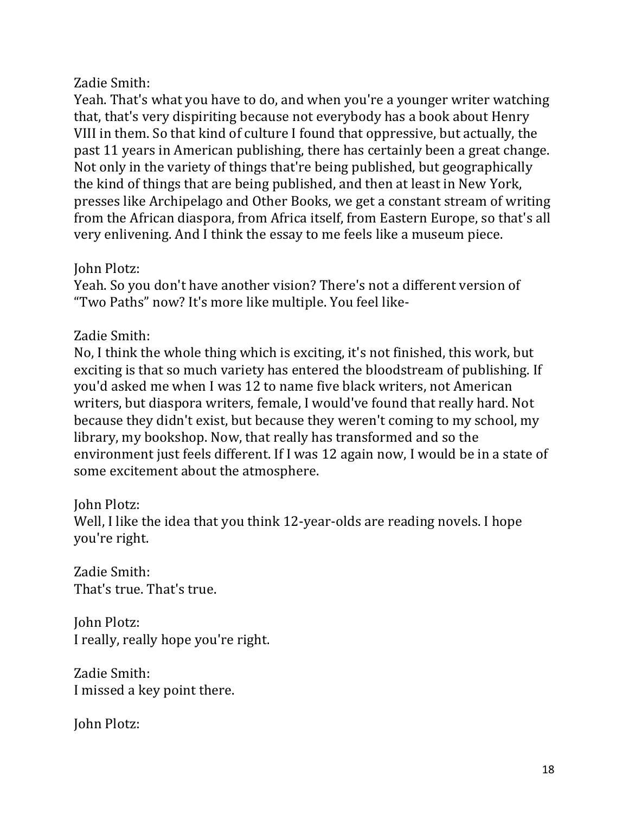## Zadie Smith:

Yeah. That's what you have to do, and when you're a younger writer watching that, that's very dispiriting because not everybody has a book about Henry VIII in them. So that kind of culture I found that oppressive, but actually, the past 11 years in American publishing, there has certainly been a great change. Not only in the variety of things that're being published, but geographically the kind of things that are being published, and then at least in New York, presses like Archipelago and Other Books, we get a constant stream of writing from the African diaspora, from Africa itself, from Eastern Europe, so that's all very enlivening. And I think the essay to me feels like a museum piece.

#### John Plotz:

Yeah. So you don't have another vision? There's not a different version of "Two Paths" now? It's more like multiple. You feel like-

## Zadie Smith:

No, I think the whole thing which is exciting, it's not finished, this work, but exciting is that so much variety has entered the bloodstream of publishing. If you'd asked me when I was 12 to name five black writers, not American writers, but diaspora writers, female, I would've found that really hard. Not because they didn't exist, but because they weren't coming to my school, my library, my bookshop. Now, that really has transformed and so the environment just feels different. If I was 12 again now, I would be in a state of some excitement about the atmosphere.

### John Plotz:

Well, I like the idea that you think 12-year-olds are reading novels. I hope you're right.

Zadie Smith: That's true. That's true.

**John Plotz:** I really, really hope you're right.

Zadie Smith: I missed a key point there.

**John Plotz:**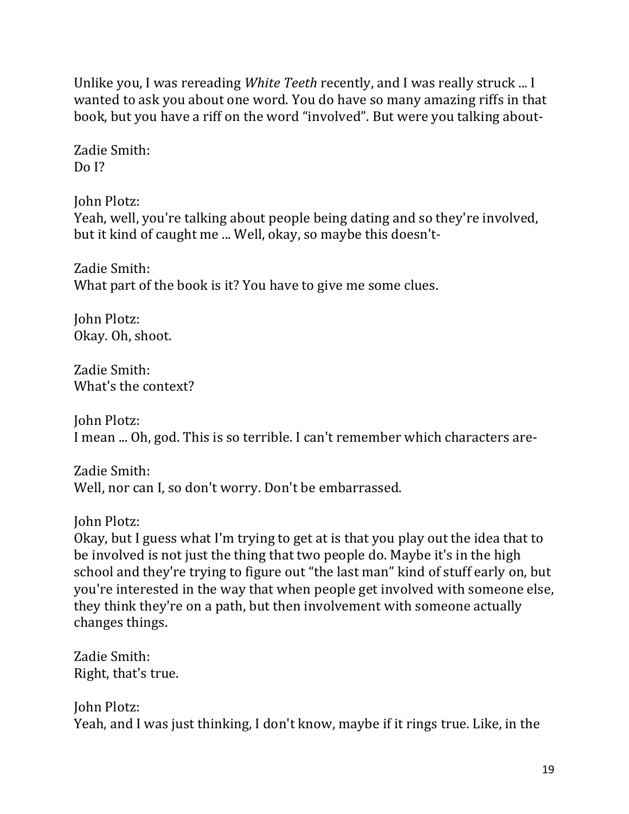Unlike you, I was rereading *White Teeth* recently, and I was really struck ... I wanted to ask you about one word. You do have so many amazing riffs in that book, but you have a riff on the word "involved". But were you talking about-

Zadie Smith:  $DoI?$ 

John Plotz: Yeah, well, you're talking about people being dating and so they're involved, but it kind of caught me ... Well, okay, so maybe this doesn't-

Zadie Smith: What part of the book is it? You have to give me some clues.

John Plotz: Okay. Oh, shoot.

Zadie Smith: What's the context?

John Plotz: I mean ... Oh, god. This is so terrible. I can't remember which characters are-

Zadie Smith: Well, nor can I, so don't worry. Don't be embarrassed.

John Plotz:

Okay, but I guess what I'm trying to get at is that you play out the idea that to be involved is not just the thing that two people do. Maybe it's in the high school and they're trying to figure out "the last man" kind of stuff early on, but you're interested in the way that when people get involved with someone else, they think they're on a path, but then involvement with someone actually changes things.

Zadie Smith: Right, that's true.

John Plotz: Yeah, and I was just thinking, I don't know, maybe if it rings true. Like, in the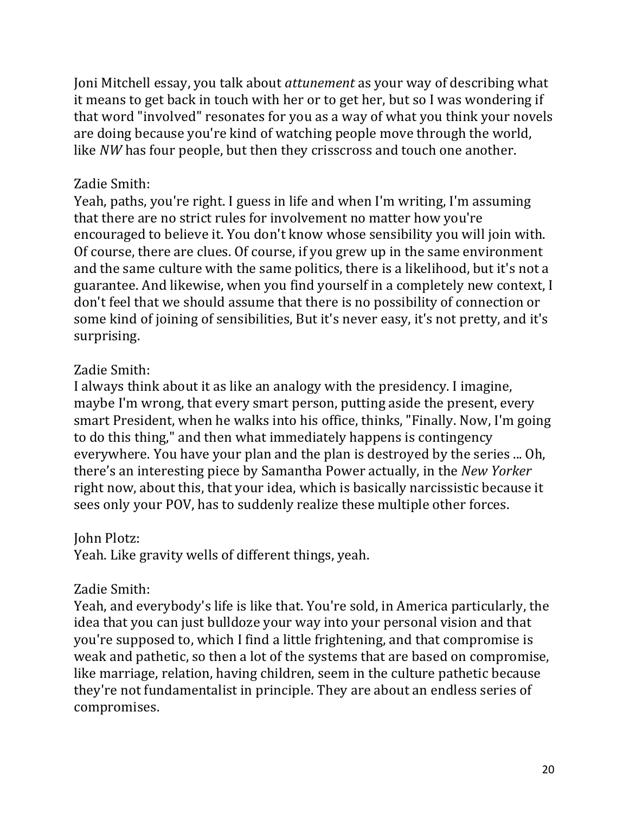Joni Mitchell essay, you talk about *attunement* as your way of describing what it means to get back in touch with her or to get her, but so I was wondering if that word "involved" resonates for you as a way of what you think your novels are doing because you're kind of watching people move through the world, like *NW* has four people, but then they crisscross and touch one another.

## Zadie Smith:

Yeah, paths, you're right. I guess in life and when I'm writing, I'm assuming that there are no strict rules for involvement no matter how you're encouraged to believe it. You don't know whose sensibility you will join with. Of course, there are clues. Of course, if you grew up in the same environment and the same culture with the same politics, there is a likelihood, but it's not a guarantee. And likewise, when you find yourself in a completely new context, I don't feel that we should assume that there is no possibility of connection or some kind of joining of sensibilities, But it's never easy, it's not pretty, and it's surprising.

# Zadie Smith:

I always think about it as like an analogy with the presidency. I imagine, maybe I'm wrong, that every smart person, putting aside the present, every smart President, when he walks into his office, thinks, "Finally. Now, I'm going to do this thing," and then what immediately happens is contingency everywhere. You have your plan and the plan is destroyed by the series ... Oh, there's an interesting piece by Samantha Power actually, in the *New Yorker* right now, about this, that your idea, which is basically narcissistic because it sees only your POV, has to suddenly realize these multiple other forces.

# **John Plotz:**

Yeah. Like gravity wells of different things, yeah.

# Zadie Smith:

Yeah, and everybody's life is like that. You're sold, in America particularly, the idea that you can just bulldoze your way into your personal vision and that you're supposed to, which I find a little frightening, and that compromise is weak and pathetic, so then a lot of the systems that are based on compromise, like marriage, relation, having children, seem in the culture pathetic because they're not fundamentalist in principle. They are about an endless series of compromises.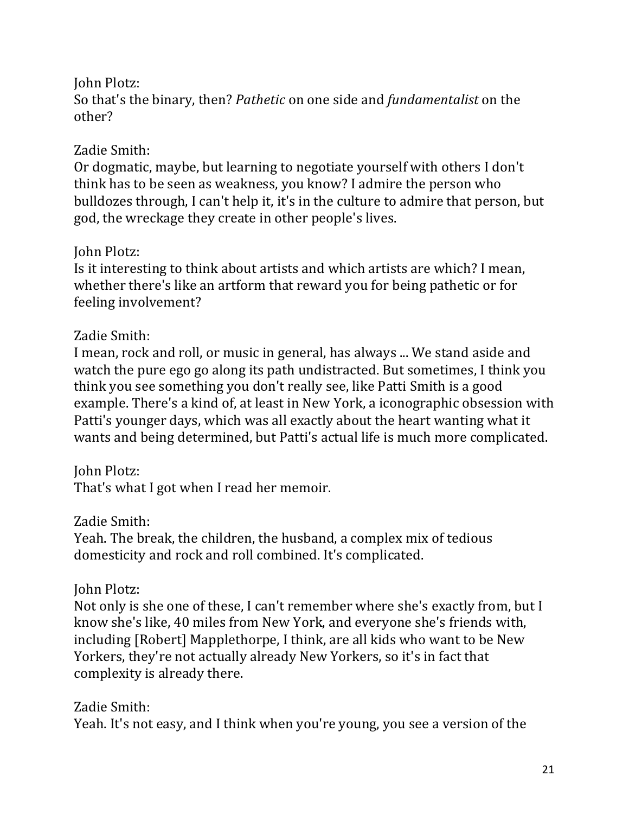## John Plotz:

So that's the binary, then? *Pathetic* on one side and *fundamentalist* on the other?

# Zadie Smith:

Or dogmatic, maybe, but learning to negotiate yourself with others I don't think has to be seen as weakness, you know? I admire the person who bulldozes through, I can't help it, it's in the culture to admire that person, but god, the wreckage they create in other people's lives.

# **John Plotz:**

Is it interesting to think about artists and which artists are which? I mean, whether there's like an artform that reward you for being pathetic or for feeling involvement?

# Zadie Smith:

I mean, rock and roll, or music in general, has always ... We stand aside and watch the pure ego go along its path undistracted. But sometimes, I think you think you see something you don't really see, like Patti Smith is a good example. There's a kind of, at least in New York, a iconographic obsession with Patti's younger days, which was all exactly about the heart wanting what it wants and being determined, but Patti's actual life is much more complicated.

# **John Plotz:**

That's what I got when I read her memoir.

### Zadie Smith:

Yeah. The break, the children, the husband, a complex mix of tedious domesticity and rock and roll combined. It's complicated.

# John Plotz:

Not only is she one of these, I can't remember where she's exactly from, but I know she's like, 40 miles from New York, and everyone she's friends with, including [Robert] Mapplethorpe, I think, are all kids who want to be New Yorkers, they're not actually already New Yorkers, so it's in fact that complexity is already there.

Zadie Smith: Yeah. It's not easy, and I think when you're young, you see a version of the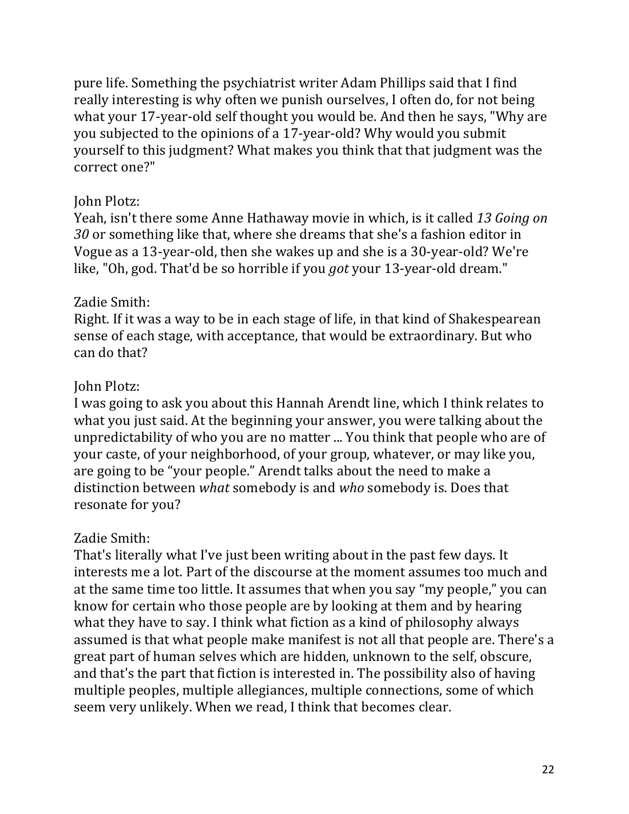pure life. Something the psychiatrist writer Adam Phillips said that I find really interesting is why often we punish ourselves, I often do, for not being what your 17-year-old self thought you would be. And then he says, "Why are you subjected to the opinions of a 17-year-old? Why would you submit yourself to this judgment? What makes you think that that judgment was the correct one?"

## John Plotz:

Yeah, isn't there some Anne Hathaway movie in which, is it called 13 Going on *30* or something like that, where she dreams that she's a fashion editor in Vogue as a 13-year-old, then she wakes up and she is a 30-year-old? We're like, "Oh, god. That'd be so horrible if you *got* your 13-year-old dream."

# Zadie Smith:

Right. If it was a way to be in each stage of life, in that kind of Shakespearean sense of each stage, with acceptance, that would be extraordinary. But who can do that?

# John Plotz:

I was going to ask you about this Hannah Arendt line, which I think relates to what you just said. At the beginning your answer, you were talking about the unpredictability of who you are no matter ... You think that people who are of your caste, of your neighborhood, of your group, whatever, or may like you, are going to be "your people." Arendt talks about the need to make a distinction between *what* somebody is and *who* somebody is. Does that resonate for you?

# Zadie Smith:

That's literally what I've just been writing about in the past few days. It interests me a lot. Part of the discourse at the moment assumes too much and at the same time too little. It assumes that when you say "my people," you can know for certain who those people are by looking at them and by hearing what they have to say. I think what fiction as a kind of philosophy always assumed is that what people make manifest is not all that people are. There's a great part of human selves which are hidden, unknown to the self, obscure, and that's the part that fiction is interested in. The possibility also of having multiple peoples, multiple allegiances, multiple connections, some of which seem very unlikely. When we read, I think that becomes clear.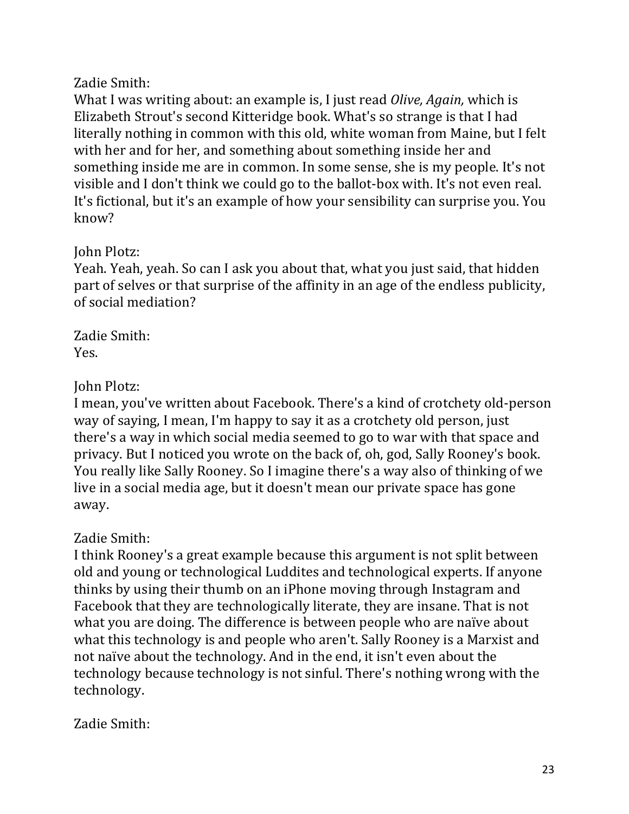Zadie Smith:

What I was writing about: an example is, I just read *Olive, Again*, which is Elizabeth Strout's second Kitteridge book. What's so strange is that I had literally nothing in common with this old, white woman from Maine, but I felt with her and for her, and something about something inside her and something inside me are in common. In some sense, she is my people. It's not visible and I don't think we could go to the ballot-box with. It's not even real. It's fictional, but it's an example of how your sensibility can surprise you. You know?

# John Plotz:

Yeah. Yeah, yeah. So can I ask you about that, what you just said, that hidden part of selves or that surprise of the affinity in an age of the endless publicity, of social mediation?

Zadie Smith: Yes.

# John Plotz:

I mean, you've written about Facebook. There's a kind of crotchety old-person way of saying, I mean, I'm happy to say it as a crotchety old person, just there's a way in which social media seemed to go to war with that space and privacy. But I noticed you wrote on the back of, oh, god, Sally Rooney's book. You really like Sally Rooney. So I imagine there's a way also of thinking of we live in a social media age, but it doesn't mean our private space has gone away.

# Zadie Smith:

I think Rooney's a great example because this argument is not split between old and young or technological Luddites and technological experts. If anyone thinks by using their thumb on an iPhone moving through Instagram and Facebook that they are technologically literate, they are insane. That is not what you are doing. The difference is between people who are naïve about what this technology is and people who aren't. Sally Rooney is a Marxist and not naïve about the technology. And in the end, it isn't even about the technology because technology is not sinful. There's nothing wrong with the technology.

Zadie Smith: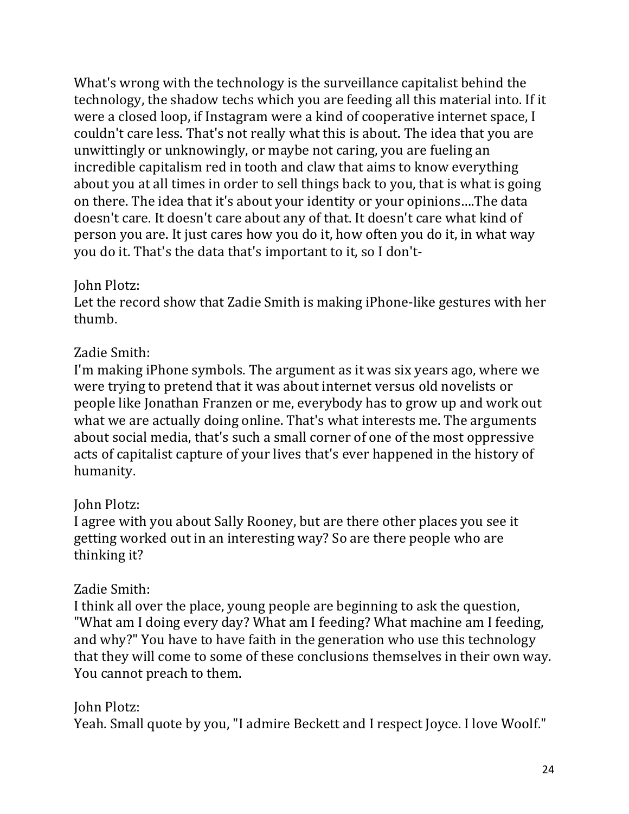What's wrong with the technology is the surveillance capitalist behind the technology, the shadow techs which you are feeding all this material into. If it were a closed loop, if Instagram were a kind of cooperative internet space, I couldn't care less. That's not really what this is about. The idea that you are unwittingly or unknowingly, or maybe not caring, you are fueling an incredible capitalism red in tooth and claw that aims to know everything about you at all times in order to sell things back to you, that is what is going on there. The idea that it's about your identity or your opinions....The data doesn't care. It doesn't care about any of that. It doesn't care what kind of person you are. It just cares how you do it, how often you do it, in what way you do it. That's the data that's important to it, so I don't-

# John Plotz:

Let the record show that Zadie Smith is making iPhone-like gestures with her thumb.

# Zadie Smith:

I'm making iPhone symbols. The argument as it was six years ago, where we were trying to pretend that it was about internet versus old novelists or people like Jonathan Franzen or me, everybody has to grow up and work out what we are actually doing online. That's what interests me. The arguments about social media, that's such a small corner of one of the most oppressive acts of capitalist capture of your lives that's ever happened in the history of humanity.

# John Plotz:

I agree with you about Sally Rooney, but are there other places you see it getting worked out in an interesting way? So are there people who are thinking it?

# Zadie Smith:

I think all over the place, young people are beginning to ask the question, "What am I doing every day? What am I feeding? What machine am I feeding, and why?" You have to have faith in the generation who use this technology that they will come to some of these conclusions themselves in their own way. You cannot preach to them.

John Plotz: Yeah. Small quote by you, "I admire Beckett and I respect Joyce. I love Woolf."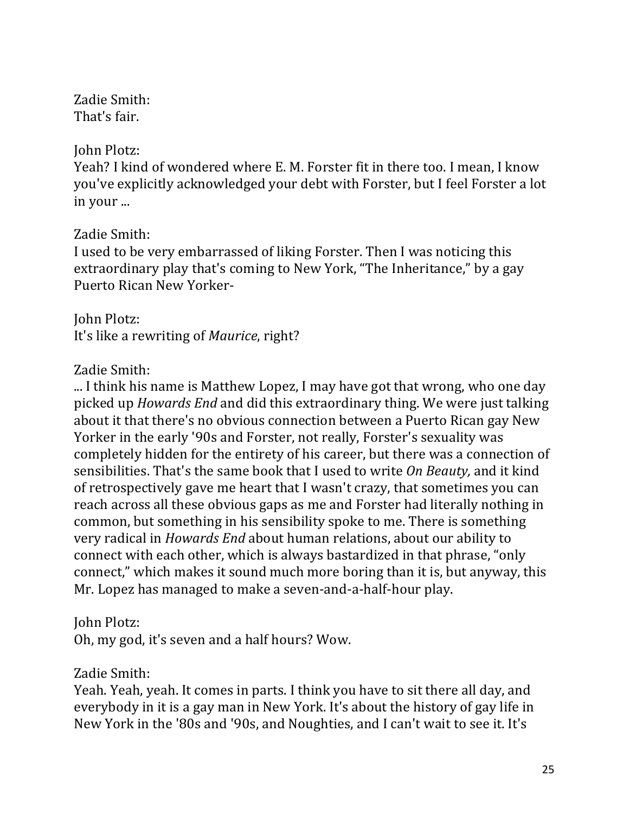Zadie Smith: That's fair.

John Plotz:

Yeah? I kind of wondered where E. M. Forster fit in there too. I mean, I know you've explicitly acknowledged your debt with Forster, but I feel Forster a lot in your ...

Zadie Smith:

I used to be very embarrassed of liking Forster. Then I was noticing this extraordinary play that's coming to New York, "The Inheritance," by a gay Puerto Rican New Yorker-

John Plotz: It's like a rewriting of *Maurice*, right?

Zadie Smith:

... I think his name is Matthew Lopez, I may have got that wrong, who one day picked up *Howards End* and did this extraordinary thing. We were just talking about it that there's no obvious connection between a Puerto Rican gay New Yorker in the early '90s and Forster, not really, Forster's sexuality was completely hidden for the entirety of his career, but there was a connection of sensibilities. That's the same book that I used to write On Beauty, and it kind of retrospectively gave me heart that I wasn't crazy, that sometimes you can reach across all these obvious gaps as me and Forster had literally nothing in common, but something in his sensibility spoke to me. There is something very radical in *Howards End* about human relations, about our ability to connect with each other, which is always bastardized in that phrase, "only connect," which makes it sound much more boring than it is, but anyway, this Mr. Lopez has managed to make a seven-and-a-half-hour play.

**John Plotz:** 

Oh, my god, it's seven and a half hours? Wow.

Zadie Smith:

Yeah. Yeah, yeah. It comes in parts. I think you have to sit there all day, and everybody in it is a gay man in New York. It's about the history of gay life in New York in the '80s and '90s, and Noughties, and I can't wait to see it. It's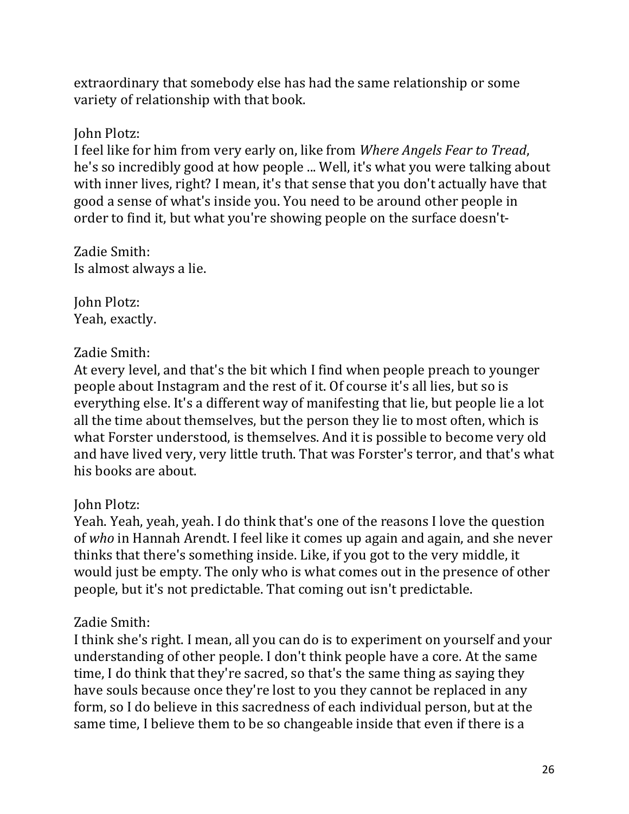extraordinary that somebody else has had the same relationship or some variety of relationship with that book.

### John Plotz:

I feel like for him from very early on, like from *Where Angels Fear to Tread*, he's so incredibly good at how people ... Well, it's what you were talking about with inner lives, right? I mean, it's that sense that you don't actually have that good a sense of what's inside you. You need to be around other people in order to find it, but what you're showing people on the surface doesn't-

Zadie Smith: Is almost always a lie.

John Plotz: Yeah, exactly.

### Zadie Smith:

At every level, and that's the bit which I find when people preach to younger people about Instagram and the rest of it. Of course it's all lies, but so is everything else. It's a different way of manifesting that lie, but people lie a lot all the time about themselves, but the person they lie to most often, which is what Forster understood, is themselves. And it is possible to become very old and have lived very, very little truth. That was Forster's terror, and that's what his books are about.

### John Plotz:

Yeah. Yeah, yeah, yeah. I do think that's one of the reasons I love the question of who in Hannah Arendt. I feel like it comes up again and again, and she never thinks that there's something inside. Like, if you got to the very middle, it would just be empty. The only who is what comes out in the presence of other people, but it's not predictable. That coming out isn't predictable.

### Zadie Smith:

I think she's right. I mean, all you can do is to experiment on yourself and your understanding of other people. I don't think people have a core. At the same time, I do think that they're sacred, so that's the same thing as saying they have souls because once they're lost to you they cannot be replaced in any form, so I do believe in this sacredness of each individual person, but at the same time, I believe them to be so changeable inside that even if there is a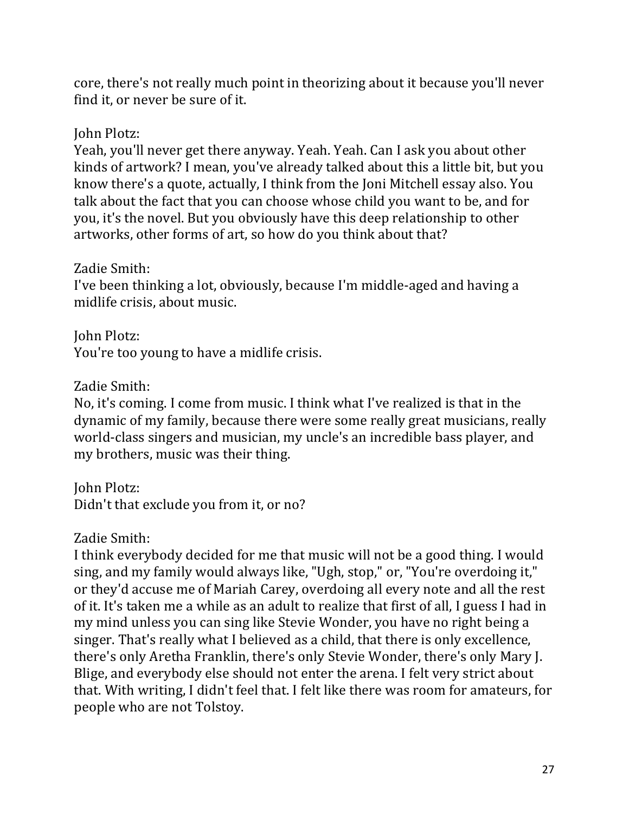core, there's not really much point in theorizing about it because you'll never find it, or never be sure of it.

### John Plotz:

Yeah, you'll never get there anyway. Yeah. Yeah. Can I ask you about other kinds of artwork? I mean, you've already talked about this a little bit, but you know there's a quote, actually, I think from the Joni Mitchell essay also. You talk about the fact that you can choose whose child you want to be, and for you, it's the novel. But you obviously have this deep relationship to other artworks, other forms of art, so how do you think about that?

### Zadie Smith:

I've been thinking a lot, obviously, because I'm middle-aged and having a midlife crisis, about music.

John Plotz: You're too young to have a midlife crisis.

### Zadie Smith:

No, it's coming. I come from music. I think what I've realized is that in the dynamic of my family, because there were some really great musicians, really world-class singers and musician, my uncle's an incredible bass player, and my brothers, music was their thing.

John Plotz: Didn't that exclude you from it, or no?

# Zadie Smith:

I think everybody decided for me that music will not be a good thing. I would sing, and my family would always like, "Ugh, stop," or, "You're overdoing it," or they'd accuse me of Mariah Carey, overdoing all every note and all the rest of it. It's taken me a while as an adult to realize that first of all, I guess I had in my mind unless you can sing like Stevie Wonder, you have no right being a singer. That's really what I believed as a child, that there is only excellence, there's only Aretha Franklin, there's only Stevie Wonder, there's only Mary J. Blige, and everybody else should not enter the arena. I felt very strict about that. With writing, I didn't feel that. I felt like there was room for amateurs, for people who are not Tolstoy.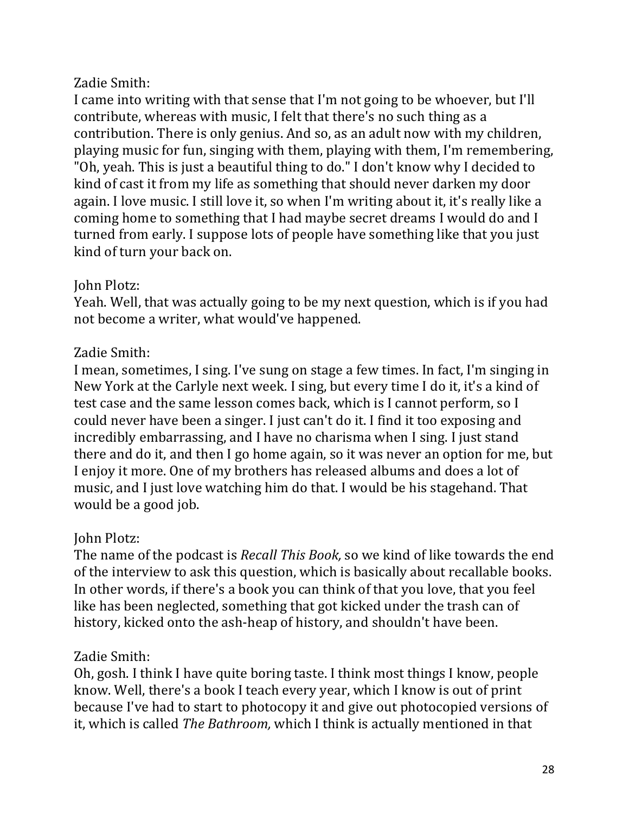## Zadie Smith:

I came into writing with that sense that I'm not going to be whoever, but I'll contribute, whereas with music, I felt that there's no such thing as a contribution. There is only genius. And so, as an adult now with my children, playing music for fun, singing with them, playing with them, I'm remembering, "Oh, yeah. This is just a beautiful thing to do." I don't know why I decided to kind of cast it from my life as something that should never darken my door again. I love music. I still love it, so when I'm writing about it, it's really like a coming home to something that I had maybe secret dreams I would do and I turned from early. I suppose lots of people have something like that you just kind of turn your back on.

### **John Plotz:**

Yeah. Well, that was actually going to be my next question, which is if you had not become a writer, what would've happened.

# Zadie Smith:

I mean, sometimes, I sing. I've sung on stage a few times. In fact, I'm singing in New York at the Carlyle next week. I sing, but every time I do it, it's a kind of test case and the same lesson comes back, which is I cannot perform, so I could never have been a singer. I just can't do it. I find it too exposing and incredibly embarrassing, and I have no charisma when I sing. I just stand there and do it, and then I go home again, so it was never an option for me, but I enjoy it more. One of my brothers has released albums and does a lot of music, and I just love watching him do that. I would be his stagehand. That would be a good job.

# **John Plotz:**

The name of the podcast is *Recall This Book*, so we kind of like towards the end of the interview to ask this question, which is basically about recallable books. In other words, if there's a book you can think of that you love, that you feel like has been neglected, something that got kicked under the trash can of history, kicked onto the ash-heap of history, and shouldn't have been.

# Zadie Smith:

Oh, gosh. I think I have quite boring taste. I think most things I know, people know. Well, there's a book I teach every year, which I know is out of print because I've had to start to photocopy it and give out photocopied versions of it, which is called *The Bathroom*, which I think is actually mentioned in that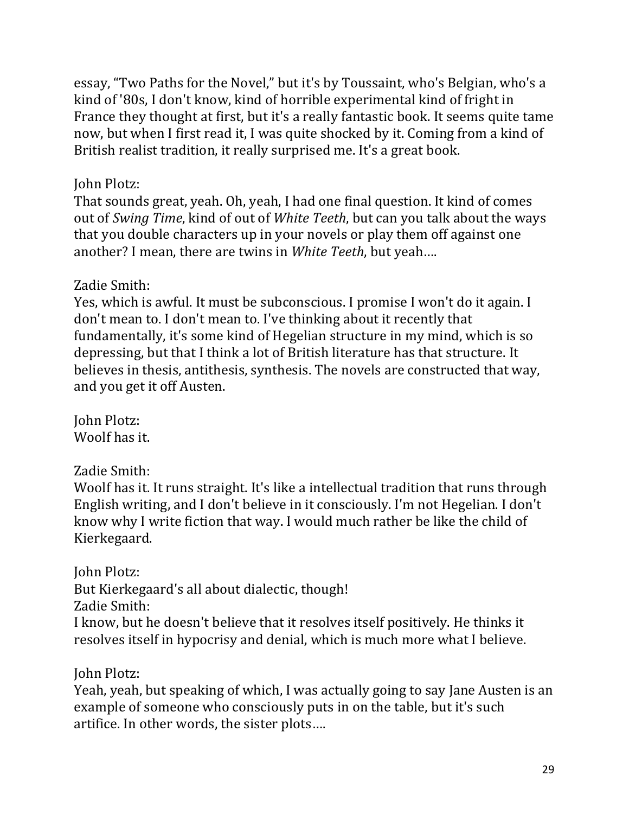essay, "Two Paths for the Novel," but it's by Toussaint, who's Belgian, who's a kind of '80s, I don't know, kind of horrible experimental kind of fright in France they thought at first, but it's a really fantastic book. It seems quite tame now, but when I first read it, I was quite shocked by it. Coming from a kind of British realist tradition, it really surprised me. It's a great book.

## John Plotz:

That sounds great, yeah. Oh, yeah, I had one final question. It kind of comes out of *Swing Time*, kind of out of *White Teeth*, but can you talk about the ways that you double characters up in your novels or play them off against one another? I mean, there are twins in *White Teeth*, but yeah....

# Zadie Smith:

Yes, which is awful. It must be subconscious. I promise I won't do it again. I don't mean to. I don't mean to. I've thinking about it recently that fundamentally, it's some kind of Hegelian structure in my mind, which is so depressing, but that I think a lot of British literature has that structure. It believes in thesis, antithesis, synthesis. The novels are constructed that way, and you get it off Austen.

**John Plotz:** Woolf has it.

Zadie Smith:

Woolf has it. It runs straight. It's like a intellectual tradition that runs through English writing, and I don't believe in it consciously. I'm not Hegelian. I don't know why I write fiction that way. I would much rather be like the child of Kierkegaard.

**John Plotz:** 

But Kierkegaard's all about dialectic, though!

Zadie Smith:

I know, but he doesn't believe that it resolves itself positively. He thinks it resolves itself in hypocrisy and denial, which is much more what I believe.

John Plotz:

Yeah, yeah, but speaking of which, I was actually going to say Jane Austen is an example of someone who consciously puts in on the table, but it's such artifice. In other words, the sister plots....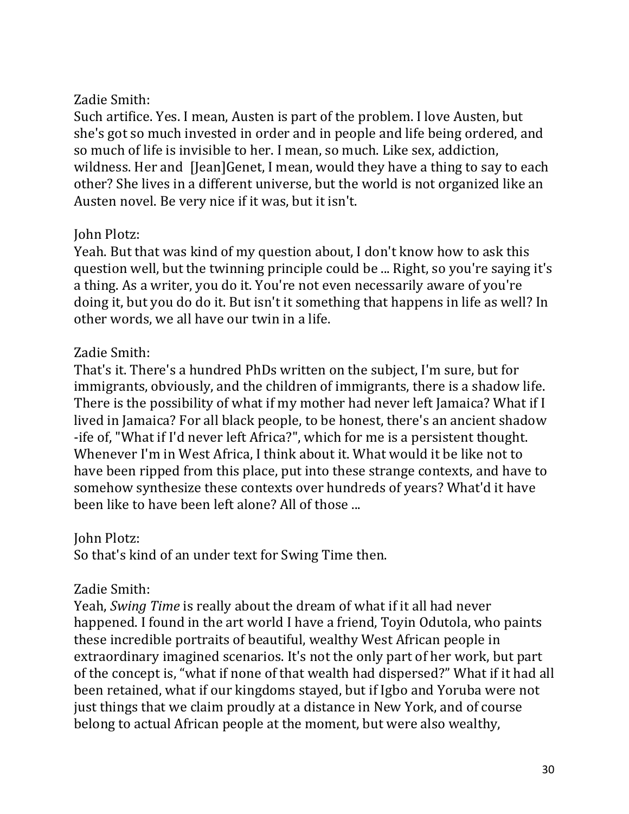## Zadie Smith:

Such artifice. Yes. I mean, Austen is part of the problem. I love Austen, but she's got so much invested in order and in people and life being ordered, and so much of life is invisible to her. I mean, so much. Like sex, addiction, wildness. Her and [Jean]Genet, I mean, would they have a thing to say to each other? She lives in a different universe, but the world is not organized like an Austen novel. Be very nice if it was, but it isn't.

## John Plotz:

Yeah. But that was kind of my question about, I don't know how to ask this question well, but the twinning principle could be ... Right, so you're saying it's a thing. As a writer, you do it. You're not even necessarily aware of you're doing it, but you do do it. But isn't it something that happens in life as well? In other words, we all have our twin in a life.

# Zadie Smith:

That's it. There's a hundred PhDs written on the subject, I'm sure, but for immigrants, obviously, and the children of immigrants, there is a shadow life. There is the possibility of what if my mother had never left Jamaica? What if I lived in Jamaica? For all black people, to be honest, there's an ancient shadow -ife of, "What if I'd never left Africa?", which for me is a persistent thought. Whenever I'm in West Africa. I think about it. What would it be like not to have been ripped from this place, put into these strange contexts, and have to somehow synthesize these contexts over hundreds of years? What'd it have been like to have been left alone? All of those ...

# **John Plotz:**

So that's kind of an under text for Swing Time then.

# Zadie Smith:

Yeah, *Swing Time* is really about the dream of what if it all had never happened. I found in the art world I have a friend, Toyin Odutola, who paints these incredible portraits of beautiful, wealthy West African people in extraordinary imagined scenarios. It's not the only part of her work, but part of the concept is, "what if none of that wealth had dispersed?" What if it had all been retained, what if our kingdoms stayed, but if Igbo and Yoruba were not just things that we claim proudly at a distance in New York, and of course belong to actual African people at the moment, but were also wealthy,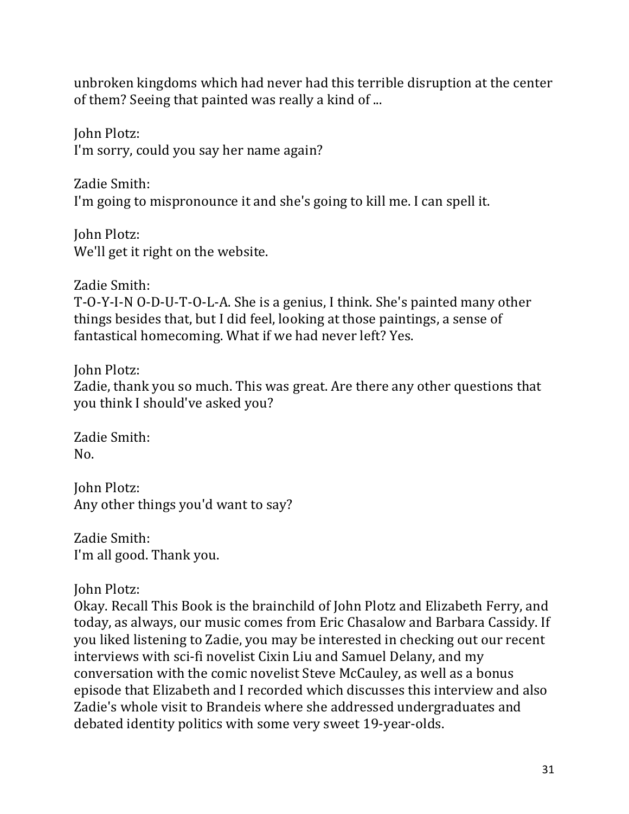unbroken kingdoms which had never had this terrible disruption at the center of them? Seeing that painted was really a kind of ...

John Plotz: I'm sorry, could you say her name again?

Zadie Smith: I'm going to mispronounce it and she's going to kill me. I can spell it.

**John Plotz:** We'll get it right on the website.

Zadie Smith: T-O-Y-I-N O-D-U-T-O-L-A. She is a genius, I think. She's painted many other things besides that, but I did feel, looking at those paintings, a sense of fantastical homecoming. What if we had never left? Yes.

John Plotz: Zadie, thank you so much. This was great. Are there any other questions that you think I should've asked you?

Zadie Smith: No.

John Plotz: Any other things you'd want to say?

Zadie Smith: I'm all good. Thank you.

John Plotz:

Okay. Recall This Book is the brainchild of John Plotz and Elizabeth Ferry, and today, as always, our music comes from Eric Chasalow and Barbara Cassidy. If you liked listening to Zadie, you may be interested in checking out our recent interviews with sci-fi novelist Cixin Liu and Samuel Delany, and my conversation with the comic novelist Steve McCauley, as well as a bonus episode that Elizabeth and I recorded which discusses this interview and also Zadie's whole visit to Brandeis where she addressed undergraduates and debated identity politics with some very sweet 19-year-olds.